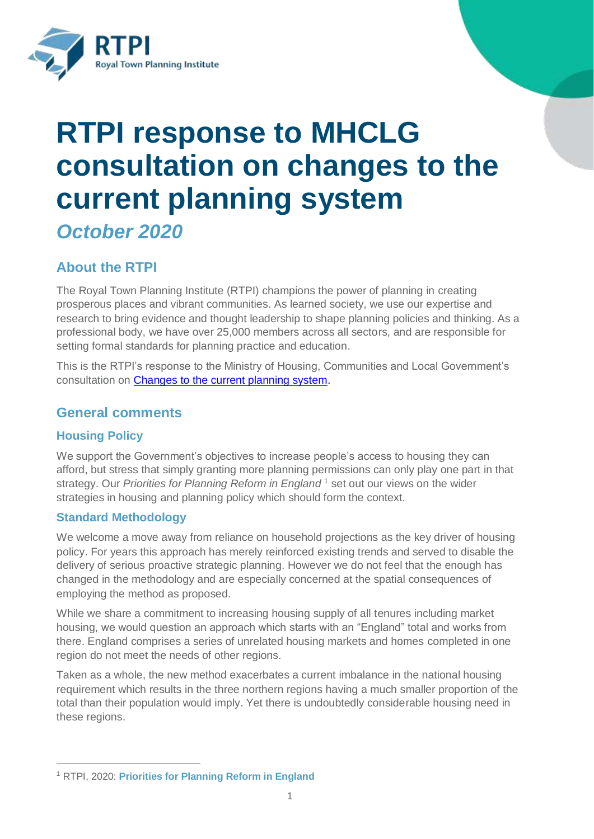

# **RTPI response to MHCLG consultation on changes to the current planning system**

*October 2020*

# **About the RTPI**

The Royal Town Planning Institute (RTPI) champions the power of planning in creating prosperous places and vibrant communities. As learned society, we use our expertise and research to bring evidence and thought leadership to shape planning policies and thinking. As a professional body, we have over 25,000 members across all sectors, and are responsible for setting formal standards for planning practice and education.

This is the RTPI's response to the Ministry of Housing, Communities and Local Government's consultation on [Changes to the current planning system.](https://www.gov.uk/government/consultations/changes-to-the-current-planning-system)

# **General comments**

# **Housing Policy**

 $\overline{a}$ 

We support the Government's objectives to increase people's access to housing they can afford, but stress that simply granting more planning permissions can only play one part in that strategy. Our *Priorities for Planning Reform in England*<sup>1</sup> set out our views on the wider strategies in housing and planning policy which should form the context.

# **Standard Methodology**

We welcome a move away from reliance on household projections as the key driver of housing policy. For years this approach has merely reinforced existing trends and served to disable the delivery of serious proactive strategic planning. However we do not feel that the enough has changed in the methodology and are especially concerned at the spatial consequences of employing the method as proposed.

While we share a commitment to increasing housing supply of all tenures including market housing, we would question an approach which starts with an "England" total and works from there. England comprises a series of unrelated housing markets and homes completed in one region do not meet the needs of other regions.

Taken as a whole, the new method exacerbates a current imbalance in the national housing requirement which results in the three northern regions having a much smaller proportion of the total than their population would imply. Yet there is undoubtedly considerable housing need in these regions.

<sup>1</sup> RTPI, 2020: **[Priorities for Planning Reform in England](Priorities%20for%20Planning%20Reform%20in%20England)**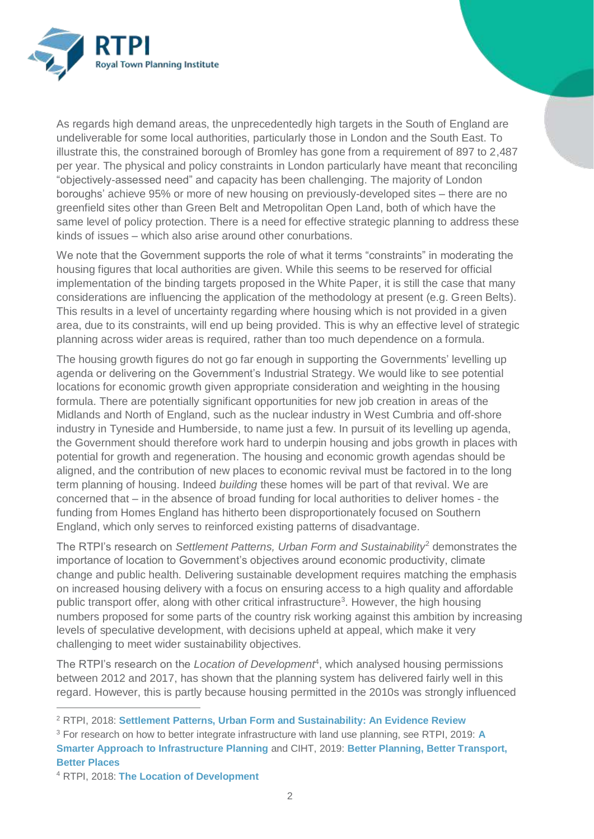

As regards high demand areas, the unprecedentedly high targets in the South of England are undeliverable for some local authorities, particularly those in London and the South East. To illustrate this, the constrained borough of Bromley has gone from a requirement of 897 to 2,487 per year. The physical and policy constraints in London particularly have meant that reconciling "objectively-assessed need" and capacity has been challenging. The majority of London boroughs' achieve 95% or more of new housing on previously-developed sites – there are no greenfield sites other than Green Belt and Metropolitan Open Land, both of which have the same level of policy protection. There is a need for effective strategic planning to address these kinds of issues – which also arise around other conurbations.

We note that the Government supports the role of what it terms "constraints" in moderating the housing figures that local authorities are given. While this seems to be reserved for official implementation of the binding targets proposed in the White Paper, it is still the case that many considerations are influencing the application of the methodology at present (e.g. Green Belts). This results in a level of uncertainty regarding where housing which is not provided in a given area, due to its constraints, will end up being provided. This is why an effective level of strategic planning across wider areas is required, rather than too much dependence on a formula.

The housing growth figures do not go far enough in supporting the [Governments'](https://www.gov.uk/government/news/pm-a-new-deal-for-britain) levelling up [agenda](https://www.gov.uk/government/news/pm-a-new-deal-for-britain) or delivering on the Government's Industrial Strategy. We would like to see potential locations for economic growth given appropriate consideration and weighting in the housing formula. There are potentially significant opportunities for new job creation in areas of the Midlands and North of England, such as the nuclear industry in West Cumbria and off-shore industry in Tyneside and Humberside, to name just a few. In pursuit of its levelling up agenda, the Government should therefore work hard to underpin housing and jobs growth in places with potential for growth and regeneration. The housing and economic growth agendas should be aligned, and the contribution of new places to economic revival must be factored in to the long term planning of housing. Indeed *building* these homes will be part of that revival. We are concerned that – in the absence of broad funding for local authorities to deliver homes - the funding from Homes England has hitherto been disproportionately focused on Southern England, which only serves to reinforced existing patterns of disadvantage.

The RTPI's research on *Settlement Patterns, Urban Form and Sustainability*<sup>2</sup> demonstrates the importance of location to Government's objectives around economic productivity, climate change and public health. Delivering sustainable development requires matching the emphasis on increased housing delivery with a focus on ensuring access to a high quality and affordable public transport offer, along with other critical infrastructure<sup>3</sup>. However, the high housing numbers proposed for some parts of the country risk working against this ambition by increasing levels of speculative development, with decisions upheld at appeal, which make it very challenging to meet wider sustainability objectives.

The RTPI's research on the *Location of Development<sup>4</sup>*, which analysed housing permissions between 2012 and 2017, has shown that the planning system has delivered fairly well in this regard. However, this is partly because housing permitted in the 2010s was strongly influenced

 $\overline{a}$ 

<sup>2</sup> RTPI, 2018: **[Settlement Patterns, Urban Form and Sustainability: An Evidence Review](https://www.rtpi.org.uk/research/2018/may/settlement-patterns-urban-form-and-sustainability/)**

<sup>3</sup> For research on how to better integrate infrastructure with land use planning, see RTPI, 2019: **[A](https://www.rtpi.org.uk/integratedinfrastructure)  [Smarter Approach to Infrastructure Planning](https://www.rtpi.org.uk/integratedinfrastructure)** and CIHT, 2019: **[Better Planning, Better Transport,](https://www.ciht.org.uk/knowledge-resource-centre/resources/better-planning-better-transport-better-places/)  [Better Places](https://www.ciht.org.uk/knowledge-resource-centre/resources/better-planning-better-transport-better-places/)**

<sup>4</sup> RTPI, 2018: **[The Location of Development](https://www.rtpi.org.uk/research/2020/january/location-of-development/)**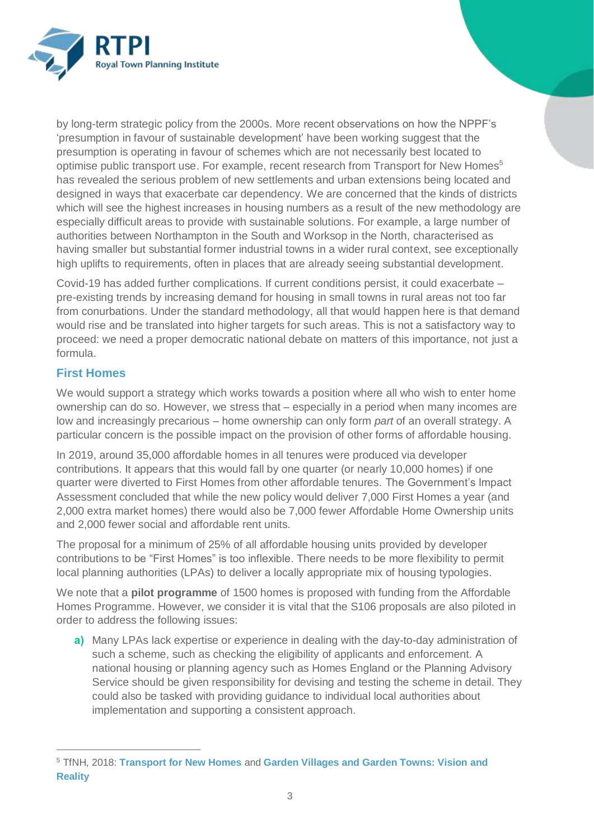

by long-term strategic policy from the 2000s. More recent observations on how the NPPF's 'presumption in favour of sustainable development' have been working suggest that the presumption is operating in favour of schemes which are not necessarily best located to optimise public transport use. For example, recent research from Transport for New Homes<sup>5</sup> has revealed the serious problem of new settlements and urban extensions being located and designed in ways that exacerbate car dependency. We are concerned that the kinds of districts which will see the highest increases in housing numbers as a result of the new methodology are especially difficult areas to provide with sustainable solutions. For example, a large number of authorities between Northampton in the South and Worksop in the North, characterised as having smaller but substantial former industrial towns in a wider rural context, see exceptionally high uplifts to requirements, often in places that are already seeing substantial development.

Covid-19 has added further complications. If current conditions persist, it could exacerbate – pre-existing trends by increasing demand for housing in small towns in rural areas not too far from conurbations. Under the standard methodology, all that would happen here is that demand would rise and be translated into higher targets for such areas. This is not a satisfactory way to proceed: we need a proper democratic national debate on matters of this importance, not just a formula.

## **First Homes**

 $\overline{a}$ 

We would support a strategy which works towards a position where all who wish to enter home ownership can do so. However, we stress that – especially in a period when many incomes are low and increasingly precarious – home ownership can only form *part* of an overall strategy. A particular concern is the possible impact on the provision of other forms of affordable housing.

In 2019, around 35,000 affordable homes in all tenures were produced via developer contributions. It appears that this would fall by one quarter (or nearly 10,000 homes) if one quarter were diverted to First Homes from other affordable tenures. The Government's Impact Assessment concluded that while the new policy would deliver 7,000 First Homes a year (and 2,000 extra market homes) there would also be 7,000 fewer Affordable Home Ownership units and 2,000 fewer social and affordable rent units.

The proposal for a minimum of 25% of all affordable housing units provided by developer contributions to be "First Homes" is too inflexible. There needs to be more flexibility to permit local planning authorities (LPAs) to deliver a locally appropriate mix of housing typologies.

We note that a **pilot programme** of 1500 homes is proposed with funding from the Affordable Homes Programme. However, we consider it is vital that the S106 proposals are also piloted in order to address the following issues:

**a)** Many LPAs lack expertise or experience in dealing with the day-to-day administration of such a scheme, such as checking the eligibility of applicants and enforcement. A national housing or planning agency such as Homes England or the Planning Advisory Service should be given responsibility for devising and testing the scheme in detail. They could also be tasked with providing guidance to individual local authorities about implementation and supporting a consistent approach.

<sup>5</sup> TfNH, 2018: **[Transport for New Homes](https://www.transportfornewhomes.org.uk/the-project/transport-for-new-homes-report-2018/)** and **[Garden Villages and Garden Towns: Vision and](https://www.transportfornewhomes.org.uk/the-project/garden-villages-and-garden-towns/)  [Reality](https://www.transportfornewhomes.org.uk/the-project/garden-villages-and-garden-towns/)**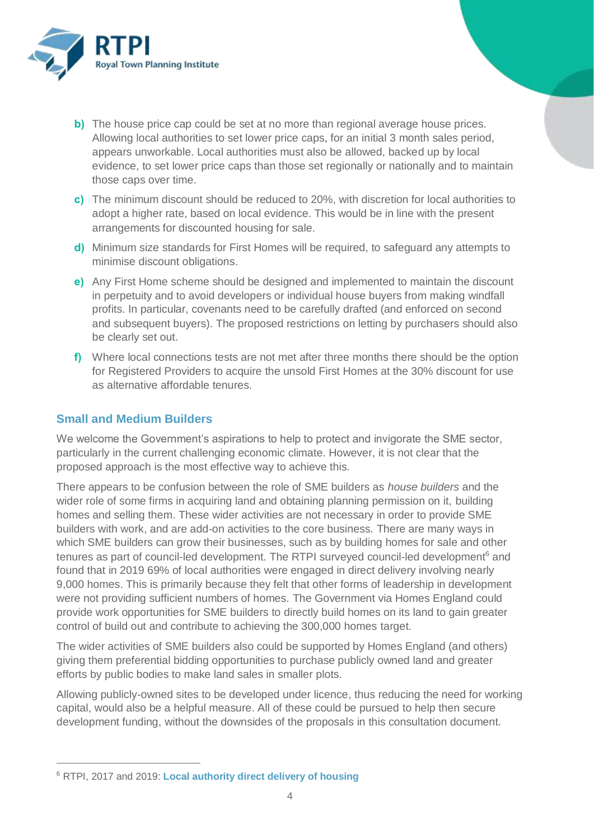

- **b)** The house price cap could be set at no more than regional average house prices. Allowing local authorities to set lower price caps, for an initial 3 month sales period, appears unworkable. Local authorities must also be allowed, backed up by local evidence, to set lower price caps than those set regionally or nationally and to maintain those caps over time.
- **c)** The minimum discount should be reduced to 20%, with discretion for local authorities to adopt a higher rate, based on local evidence. This would be in line with the present arrangements for discounted housing for sale.
- **d)** Minimum size standards for First Homes will be required, to safeguard any attempts to minimise discount obligations.
- **e)** Any First Home scheme should be designed and implemented to maintain the discount in perpetuity and to avoid developers or individual house buyers from making windfall profits. In particular, covenants need to be carefully drafted (and enforced on second and subsequent buyers). The proposed restrictions on letting by purchasers should also be clearly set out.
- **f)** Where local connections tests are not met after three months there should be the option for Registered Providers to acquire the unsold First Homes at the 30% discount for use as alternative affordable tenures.

#### **Small and Medium Builders**

 $\overline{a}$ 

We welcome the Government's aspirations to help to protect and invigorate the SME sector, particularly in the current challenging economic climate. However, it is not clear that the proposed approach is the most effective way to achieve this.

There appears to be confusion between the role of SME builders as *house builders* and the wider role of some firms in acquiring land and obtaining planning permission on it, building homes and selling them. These wider activities are not necessary in order to provide SME builders with work, and are add-on activities to the core business. There are many ways in which SME builders can grow their businesses, such as by building homes for sale and other tenures as part of council-led development. The RTPI surveyed council-led development<sup>6</sup> and found that in 2019 69% of local authorities were engaged in direct delivery involving nearly 9,000 homes. This is primarily because they felt that other forms of leadership in development were not providing sufficient numbers of homes. The Government via Homes England could provide work opportunities for SME builders to directly build homes on its land to gain greater control of build out and contribute to achieving the 300,000 homes target.

The wider activities of SME builders also could be supported by Homes England (and others) giving them preferential bidding opportunities to purchase publicly owned land and greater efforts by public bodies to make land sales in smaller plots.

Allowing publicly-owned sites to be developed under licence, thus reducing the need for working capital, would also be a helpful measure. All of these could be pursued to help then secure development funding, without the downsides of the proposals in this consultation document.

<sup>6</sup> RTPI, 2017 and 2019: **[Local authority direct delivery of housing](https://www.rtpi.org.uk/research/2019/july/local-authority-direct-delivery-of-housing-ii-continuation-research/)**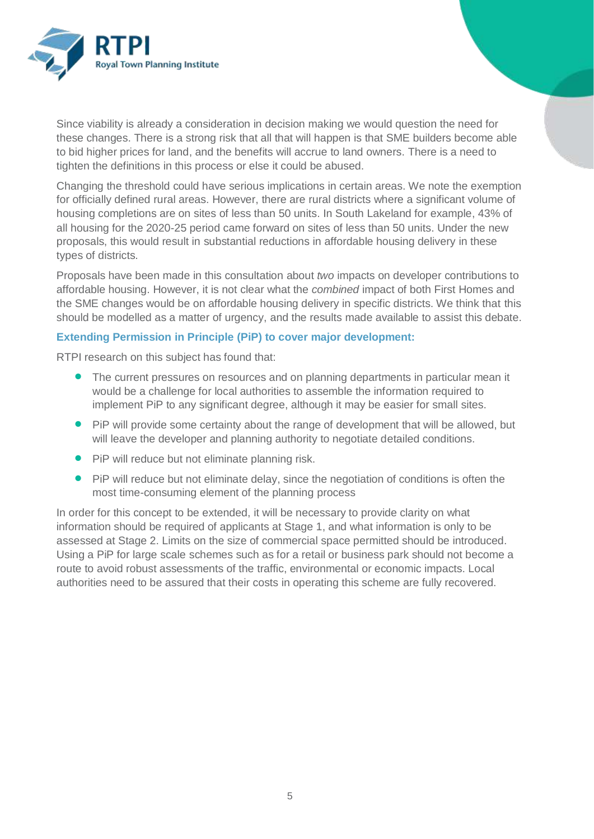

Since viability is already a consideration in decision making we would question the need for these changes. There is a strong risk that all that will happen is that SME builders become able to bid higher prices for land, and the benefits will accrue to land owners. There is a need to tighten the definitions in this process or else it could be abused.

Changing the threshold could have serious implications in certain areas. We note the exemption for officially defined rural areas. However, there are rural districts where a significant volume of housing completions are on sites of less than 50 units. In South Lakeland for example, 43% of all housing for the 2020-25 period came forward on sites of less than 50 units. Under the new proposals, this would result in substantial reductions in affordable housing delivery in these types of districts.

Proposals have been made in this consultation about *two* impacts on developer contributions to affordable housing. However, it is not clear what the *combined* impact of both First Homes and the SME changes would be on affordable housing delivery in specific districts. We think that this should be modelled as a matter of urgency, and the results made available to assist this debate.

#### **Extending Permission in Principle (PiP) to cover major development:**

RTPI research on this subject has found that:

- The current pressures on resources and on planning departments in particular mean it would be a challenge for local authorities to assemble the information required to implement PiP to any significant degree, although it may be easier for small sites.
- PiP will provide some certainty about the range of development that will be allowed, but will leave the developer and planning authority to negotiate detailed conditions.
- **•** PiP will reduce but not eliminate planning risk.
- **Pip** will reduce but not eliminate delay, since the negotiation of conditions is often the most time-consuming element of the planning process

In order for this concept to be extended, it will be necessary to provide clarity on what information should be required of applicants at Stage 1, and what information is only to be assessed at Stage 2. Limits on the size of commercial space permitted should be introduced. Using a PiP for large scale schemes such as for a retail or business park should not become a route to avoid robust assessments of the traffic, environmental or economic impacts. Local authorities need to be assured that their costs in operating this scheme are fully recovered.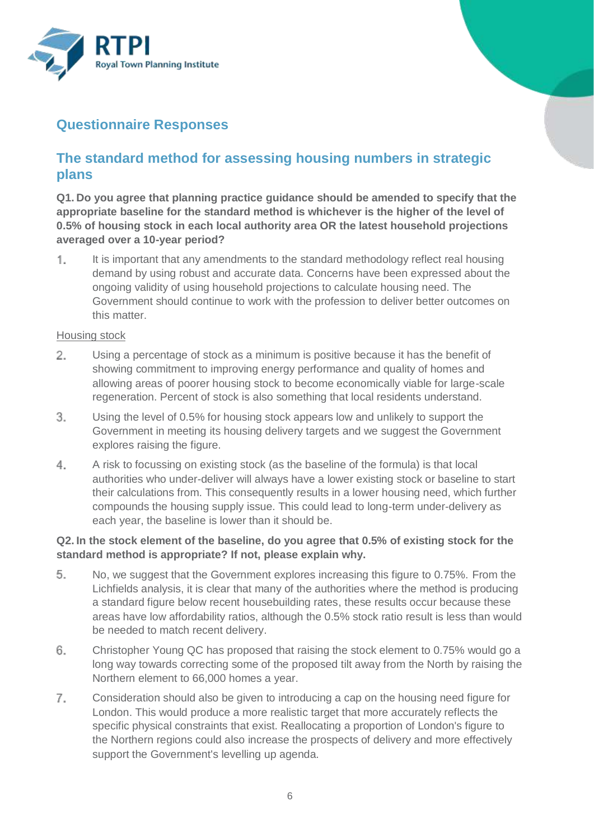

# **Questionnaire Responses**

# **The standard method for assessing housing numbers in strategic plans**

**Q1. Do you agree that planning practice guidance should be amended to specify that the appropriate baseline for the standard method is whichever is the higher of the level of 0.5% of housing stock in each local authority area OR the latest household projections averaged over a 10-year period?**

1. It is important that any amendments to the standard methodology reflect real housing demand by using robust and accurate data. Concerns have been expressed about the ongoing validity of using household projections to calculate housing need. The Government should continue to work with the profession to deliver better outcomes on this matter.

#### Housing stock

- $2.$ Using a percentage of stock as a minimum is positive because it has the benefit of showing commitment to improving energy performance and quality of homes and allowing areas of poorer housing stock to become economically viable for large-scale regeneration. Percent of stock is also something that local residents understand.
- 3. Using the level of 0.5% for housing stock appears low and unlikely to support the Government in meeting its housing delivery targets and we suggest the Government explores raising the figure.
- $4.$ A risk to focussing on existing stock (as the baseline of the formula) is that local authorities who under-deliver will always have a lower existing stock or baseline to start their calculations from. This consequently results in a lower housing need, which further compounds the housing supply issue. This could lead to long-term under-delivery as each year, the baseline is lower than it should be.

#### **Q2. In the stock element of the baseline, do you agree that 0.5% of existing stock for the standard method is appropriate? If not, please explain why.**

- 5. No, we suggest that the Government explores increasing this figure to 0.75%. From the Lichfields analysis, it is clear that many of the authorities where the method is producing a standard figure below recent housebuilding rates, these results occur because these areas have low affordability ratios, although the 0.5% stock ratio result is less than would be needed to match recent delivery.
- Christopher Young QC has proposed that raising the stock element to 0.75% would go a 6. long way towards correcting some of the proposed tilt away from the North by raising the Northern element to 66,000 homes a year.
- $7.$ Consideration should also be given to introducing a cap on the housing need figure for London. This would produce a more realistic target that more accurately reflects the specific physical constraints that exist. Reallocating a proportion of London's figure to the Northern regions could also increase the prospects of delivery and more effectively support the Government's levelling up agenda.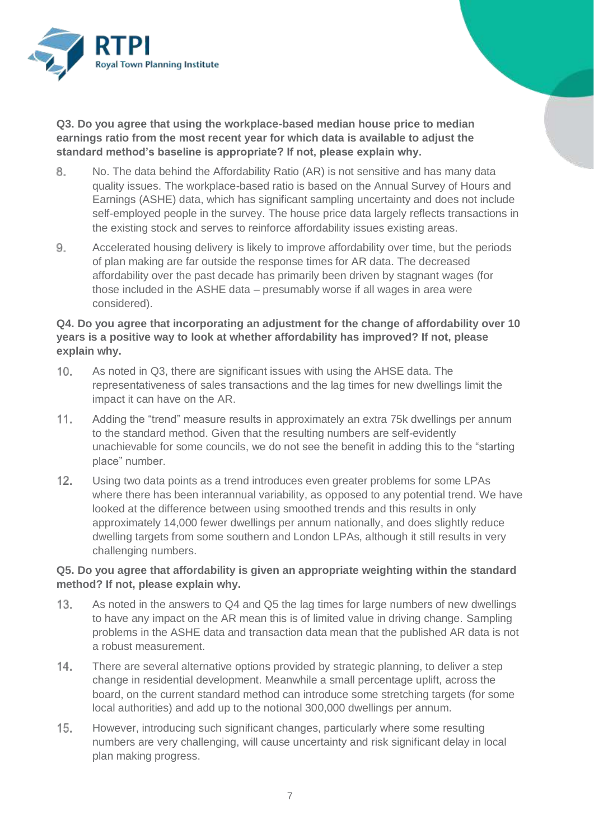

**Q3. Do you agree that using the workplace-based median house price to median earnings ratio from the most recent year for which data is available to adjust the standard method's baseline is appropriate? If not, please explain why.**

- 8. No. The data behind the Affordability Ratio (AR) is not sensitive and has many data quality issues. The workplace-based ratio is based on the Annual Survey of Hours and Earnings (ASHE) data, which has significant sampling uncertainty and does not include self-employed people in the survey. The house price data largely reflects transactions in the existing stock and serves to reinforce affordability issues existing areas.
- 9. Accelerated housing delivery is likely to improve affordability over time, but the periods of plan making are far outside the response times for AR data. The decreased affordability over the past decade has primarily been driven by stagnant wages (for those included in the ASHE data – presumably worse if all wages in area were considered).

#### **Q4. Do you agree that incorporating an adjustment for the change of affordability over 10 years is a positive way to look at whether affordability has improved? If not, please explain why.**

- 10. As noted in Q3, there are significant issues with using the AHSE data. The representativeness of sales transactions and the lag times for new dwellings limit the impact it can have on the AR.
- $11.$ Adding the "trend" measure results in approximately an extra 75k dwellings per annum to the standard method. Given that the resulting numbers are self-evidently unachievable for some councils, we do not see the benefit in adding this to the "starting place" number.
- $12.$ Using two data points as a trend introduces even greater problems for some LPAs where there has been interannual variability, as opposed to any potential trend. We have looked at the difference between using smoothed trends and this results in only approximately 14,000 fewer dwellings per annum nationally, and does slightly reduce dwelling targets from some southern and London LPAs, although it still results in very challenging numbers.

#### **Q5. Do you agree that affordability is given an appropriate weighting within the standard method? If not, please explain why.**

- $13.$ As noted in the answers to Q4 and Q5 the lag times for large numbers of new dwellings to have any impact on the AR mean this is of limited value in driving change. Sampling problems in the ASHE data and transaction data mean that the published AR data is not a robust measurement.
- $14.$ There are several alternative options provided by strategic planning, to deliver a step change in residential development. Meanwhile a small percentage uplift, across the board, on the current standard method can introduce some stretching targets (for some local authorities) and add up to the notional 300,000 dwellings per annum.
- $15.$ However, introducing such significant changes, particularly where some resulting numbers are very challenging, will cause uncertainty and risk significant delay in local plan making progress.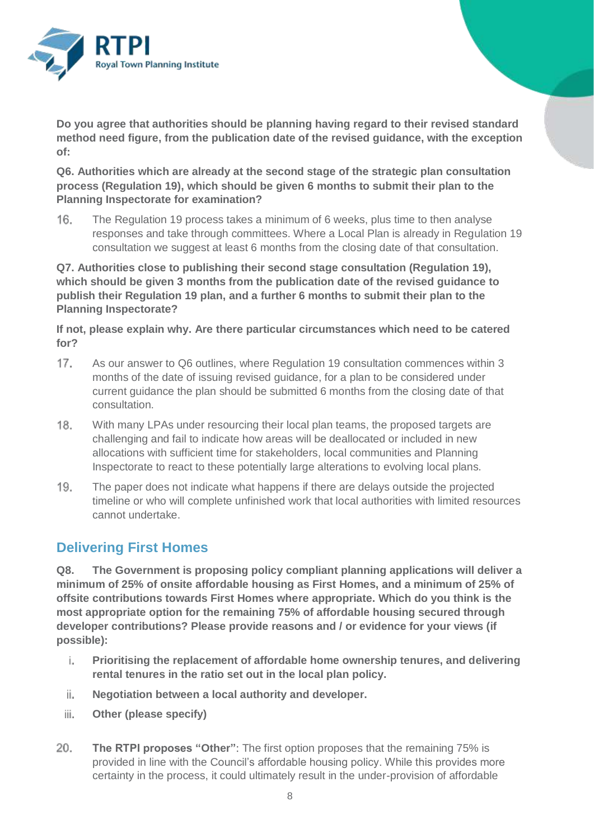

**Do you agree that authorities should be planning having regard to their revised standard method need figure, from the publication date of the revised guidance, with the exception of:**

**Q6. Authorities which are already at the second stage of the strategic plan consultation process (Regulation 19), which should be given 6 months to submit their plan to the Planning Inspectorate for examination?**

16. The Regulation 19 process takes a minimum of 6 weeks, plus time to then analyse responses and take through committees. Where a Local Plan is already in Regulation 19 consultation we suggest at least 6 months from the closing date of that consultation.

**Q7. Authorities close to publishing their second stage consultation (Regulation 19), which should be given 3 months from the publication date of the revised guidance to publish their Regulation 19 plan, and a further 6 months to submit their plan to the Planning Inspectorate?**

**If not, please explain why. Are there particular circumstances which need to be catered for?**

- 17. As our answer to Q6 outlines, where Regulation 19 consultation commences within 3 months of the date of issuing revised guidance, for a plan to be considered under current guidance the plan should be submitted 6 months from the closing date of that consultation.
- 18. With many LPAs under resourcing their local plan teams, the proposed targets are challenging and fail to indicate how areas will be deallocated or included in new allocations with sufficient time for stakeholders, local communities and Planning Inspectorate to react to these potentially large alterations to evolving local plans.
- 19. The paper does not indicate what happens if there are delays outside the projected timeline or who will complete unfinished work that local authorities with limited resources cannot undertake.

# **Delivering First Homes**

**Q8. The Government is proposing policy compliant planning applications will deliver a minimum of 25% of onsite affordable housing as First Homes, and a minimum of 25% of offsite contributions towards First Homes where appropriate. Which do you think is the most appropriate option for the remaining 75% of affordable housing secured through developer contributions? Please provide reasons and / or evidence for your views (if possible):**

- i. **Prioritising the replacement of affordable home ownership tenures, and delivering rental tenures in the ratio set out in the local plan policy.**
- ii. **Negotiation between a local authority and developer.**
- iii. **Other (please specify)**
- $20.$ **The RTPI proposes "Other"**: The first option proposes that the remaining 75% is provided in line with the Council's affordable housing policy. While this provides more certainty in the process, it could ultimately result in the under-provision of affordable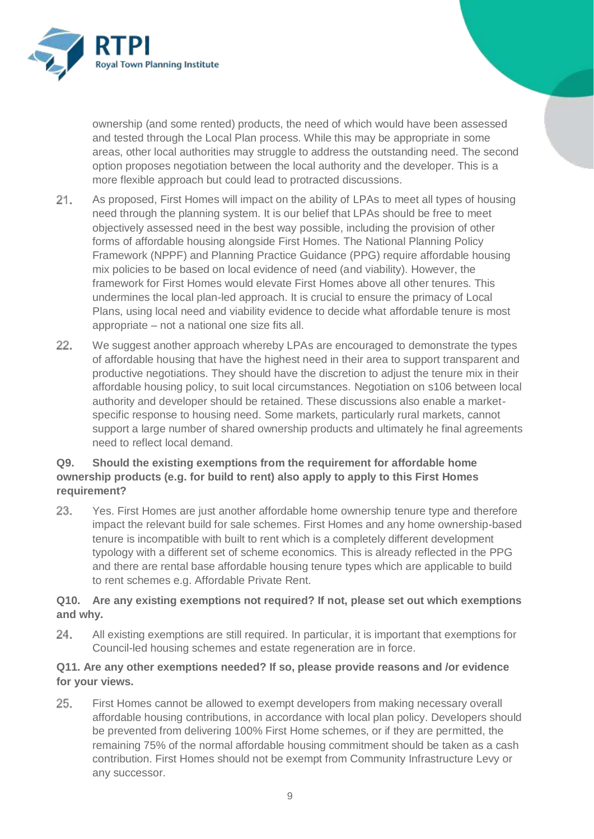

ownership (and some rented) products, the need of which would have been assessed and tested through the Local Plan process. While this may be appropriate in some areas, other local authorities may struggle to address the outstanding need. The second option proposes negotiation between the local authority and the developer. This is a more flexible approach but could lead to protracted discussions.

- $21.$ As proposed, First Homes will impact on the ability of LPAs to meet all types of housing need through the planning system. It is our belief that LPAs should be free to meet objectively assessed need in the best way possible, including the provision of other forms of affordable housing alongside First Homes. The National Planning Policy Framework (NPPF) and Planning Practice Guidance (PPG) require affordable housing mix policies to be based on local evidence of need (and viability). However, the framework for First Homes would elevate First Homes above all other tenures. This undermines the local plan-led approach. It is crucial to ensure the primacy of Local Plans, using local need and viability evidence to decide what affordable tenure is most appropriate – not a national one size fits all.
- 22. We suggest another approach whereby LPAs are encouraged to demonstrate the types of affordable housing that have the highest need in their area to support transparent and productive negotiations. They should have the discretion to adjust the tenure mix in their affordable housing policy, to suit local circumstances. Negotiation on s106 between local authority and developer should be retained. These discussions also enable a marketspecific response to housing need. Some markets, particularly rural markets, cannot support a large number of shared ownership products and ultimately he final agreements need to reflect local demand.

## **Q9. Should the existing exemptions from the requirement for affordable home ownership products (e.g. for build to rent) also apply to apply to this First Homes requirement?**

23. Yes. First Homes are just another affordable home ownership tenure type and therefore impact the relevant build for sale schemes. First Homes and any home ownership-based tenure is incompatible with built to rent which is a completely different development typology with a different set of scheme economics. This is already reflected in the PPG and there are rental base affordable housing tenure types which are applicable to build to rent schemes e.g. Affordable Private Rent.

#### **Q10. Are any existing exemptions not required? If not, please set out which exemptions and why.**

24. All existing exemptions are still required. In particular, it is important that exemptions for Council-led housing schemes and estate regeneration are in force.

## **Q11. Are any other exemptions needed? If so, please provide reasons and /or evidence for your views.**

25. First Homes cannot be allowed to exempt developers from making necessary overall affordable housing contributions, in accordance with local plan policy. Developers should be prevented from delivering 100% First Home schemes, or if they are permitted, the remaining 75% of the normal affordable housing commitment should be taken as a cash contribution. First Homes should not be exempt from Community Infrastructure Levy or any successor.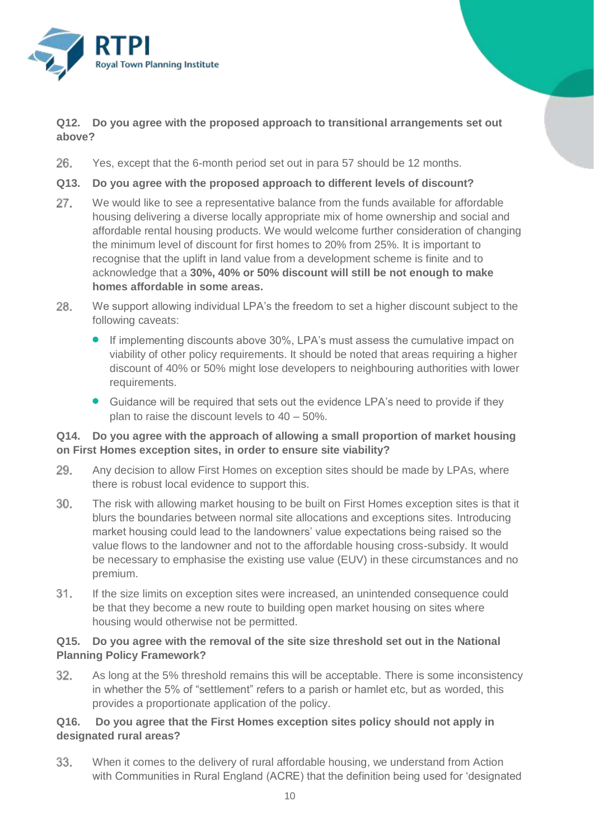

## **Q12. Do you agree with the proposed approach to transitional arrangements set out above?**

26 Yes, except that the 6-month period set out in para 57 should be 12 months.

#### **Q13. Do you agree with the proposed approach to different levels of discount?**

- 27. We would like to see a representative balance from the funds available for affordable housing delivering a diverse locally appropriate mix of home ownership and social and affordable rental housing products. We would welcome further consideration of changing the minimum level of discount for first homes to 20% from 25%. It is important to recognise that the uplift in land value from a development scheme is finite and to acknowledge that a **30%, 40% or 50% discount will still be not enough to make homes affordable in some areas.**
- 28. We support allowing individual LPA's the freedom to set a higher discount subject to the following caveats:
	- If implementing discounts above 30%, LPA's must assess the cumulative impact on viability of other policy requirements. It should be noted that areas requiring a higher discount of 40% or 50% might lose developers to neighbouring authorities with lower requirements.
	- Guidance will be required that sets out the evidence LPA's need to provide if they plan to raise the discount levels to 40 – 50%.

#### **Q14. Do you agree with the approach of allowing a small proportion of market housing on First Homes exception sites, in order to ensure site viability?**

- Any decision to allow First Homes on exception sites should be made by LPAs, where 29. there is robust local evidence to support this.
- The risk with allowing market housing to be built on First Homes exception sites is that it 30. blurs the boundaries between normal site allocations and exceptions sites. Introducing market housing could lead to the landowners' value expectations being raised so the value flows to the landowner and not to the affordable housing cross-subsidy. It would be necessary to emphasise the existing use value (EUV) in these circumstances and no premium.
- 31. If the size limits on exception sites were increased, an unintended consequence could be that they become a new route to building open market housing on sites where housing would otherwise not be permitted.

#### **Q15. Do you agree with the removal of the site size threshold set out in the National Planning Policy Framework?**

32. As long at the 5% threshold remains this will be acceptable. There is some inconsistency in whether the 5% of "settlement" refers to a parish or hamlet etc, but as worded, this provides a proportionate application of the policy.

## **Q16. Do you agree that the First Homes exception sites policy should not apply in designated rural areas?**

33. When it comes to the delivery of rural affordable housing, we understand from Action with Communities in Rural England (ACRE) that the definition being used for 'designated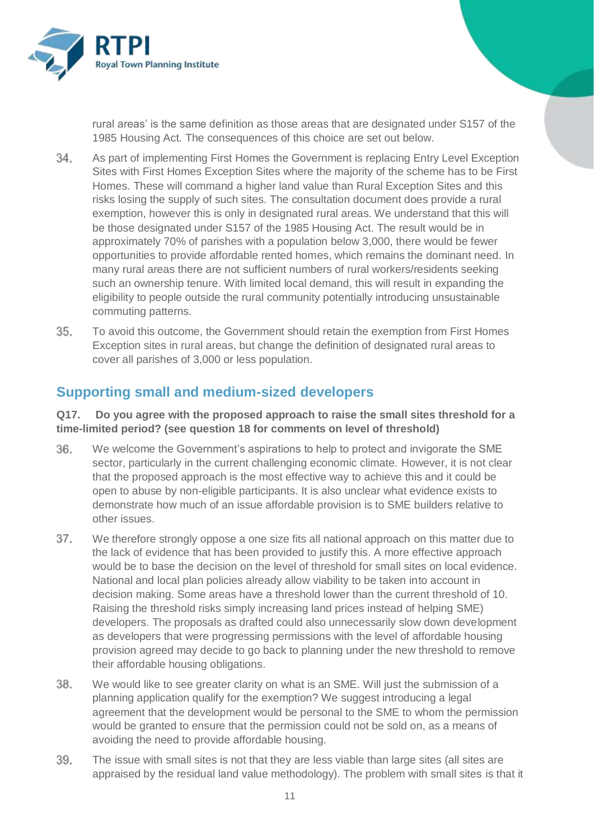

rural areas' is the same definition as those areas that are designated under S157 of the 1985 Housing Act. The consequences of this choice are set out below.

- 34. As part of implementing First Homes the Government is replacing Entry Level Exception Sites with First Homes Exception Sites where the majority of the scheme has to be First Homes. These will command a higher land value than Rural Exception Sites and this risks losing the supply of such sites. The consultation document does provide a rural exemption, however this is only in designated rural areas. We understand that this will be those designated under S157 of the 1985 Housing Act. The result would be in approximately 70% of parishes with a population below 3,000, there would be fewer opportunities to provide affordable rented homes, which remains the dominant need. In many rural areas there are not sufficient numbers of rural workers/residents seeking such an ownership tenure. With limited local demand, this will result in expanding the eligibility to people outside the rural community potentially introducing unsustainable commuting patterns.
- 35. To avoid this outcome, the Government should retain the exemption from First Homes Exception sites in rural areas, but change the definition of designated rural areas to cover all parishes of 3,000 or less population.

# **Supporting small and medium-sized developers**

#### **Q17. Do you agree with the proposed approach to raise the small sites threshold for a time-limited period? (see question 18 for comments on level of threshold)**

- 36. We welcome the Government's aspirations to help to protect and invigorate the SME sector, particularly in the current challenging economic climate. However, it is not clear that the proposed approach is the most effective way to achieve this and it could be open to abuse by non-eligible participants. It is also unclear what evidence exists to demonstrate how much of an issue affordable provision is to SME builders relative to other issues.
- 37. We therefore strongly oppose a one size fits all national approach on this matter due to the lack of evidence that has been provided to justify this. A more effective approach would be to base the decision on the level of threshold for small sites on local evidence. National and local plan policies already allow viability to be taken into account in decision making. Some areas have a threshold lower than the current threshold of 10. Raising the threshold risks simply increasing land prices instead of helping SME) developers. The proposals as drafted could also unnecessarily slow down development as developers that were progressing permissions with the level of affordable housing provision agreed may decide to go back to planning under the new threshold to remove their affordable housing obligations.
- 38. We would like to see greater clarity on what is an SME. Will just the submission of a planning application qualify for the exemption? We suggest introducing a legal agreement that the development would be personal to the SME to whom the permission would be granted to ensure that the permission could not be sold on, as a means of avoiding the need to provide affordable housing.
- 39. The issue with small sites is not that they are less viable than large sites (all sites are appraised by the residual land value methodology). The problem with small sites is that it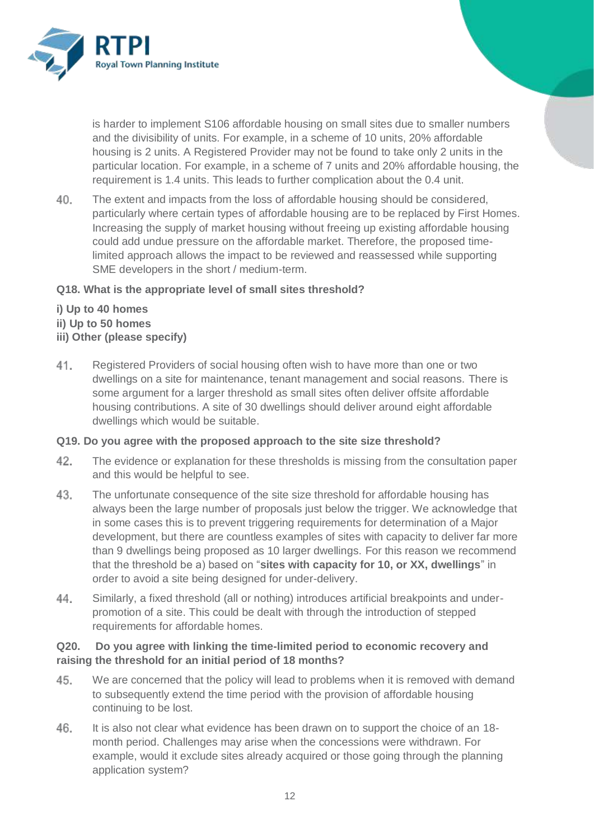

is harder to implement S106 affordable housing on small sites due to smaller numbers and the divisibility of units. For example, in a scheme of 10 units, 20% affordable housing is 2 units. A Registered Provider may not be found to take only 2 units in the particular location. For example, in a scheme of 7 units and 20% affordable housing, the requirement is 1.4 units. This leads to further complication about the 0.4 unit.

40. The extent and impacts from the loss of affordable housing should be considered, particularly where certain types of affordable housing are to be replaced by First Homes. Increasing the supply of market housing without freeing up existing affordable housing could add undue pressure on the affordable market. Therefore, the proposed timelimited approach allows the impact to be reviewed and reassessed while supporting SME developers in the short / medium-term.

#### **Q18. What is the appropriate level of small sites threshold?**

#### **i) Up to 40 homes**

- **ii) Up to 50 homes**
- **iii) Other (please specify)**
- 41. Registered Providers of social housing often wish to have more than one or two dwellings on a site for maintenance, tenant management and social reasons. There is some argument for a larger threshold as small sites often deliver offsite affordable housing contributions. A site of 30 dwellings should deliver around eight affordable dwellings which would be suitable.

#### **Q19. Do you agree with the proposed approach to the site size threshold?**

- 42. The evidence or explanation for these thresholds is missing from the consultation paper and this would be helpful to see.
- 43. The unfortunate consequence of the site size threshold for affordable housing has always been the large number of proposals just below the trigger. We acknowledge that in some cases this is to prevent triggering requirements for determination of a Major development, but there are countless examples of sites with capacity to deliver far more than 9 dwellings being proposed as 10 larger dwellings. For this reason we recommend that the threshold be a) based on "**sites with capacity for 10, or XX, dwellings**" in order to avoid a site being designed for under-delivery.
- 44. Similarly, a fixed threshold (all or nothing) introduces artificial breakpoints and underpromotion of a site. This could be dealt with through the introduction of stepped requirements for affordable homes.

#### **Q20. Do you agree with linking the time-limited period to economic recovery and raising the threshold for an initial period of 18 months?**

- 45. We are concerned that the policy will lead to problems when it is removed with demand to subsequently extend the time period with the provision of affordable housing continuing to be lost.
- 46. It is also not clear what evidence has been drawn on to support the choice of an 18 month period. Challenges may arise when the concessions were withdrawn. For example, would it exclude sites already acquired or those going through the planning application system?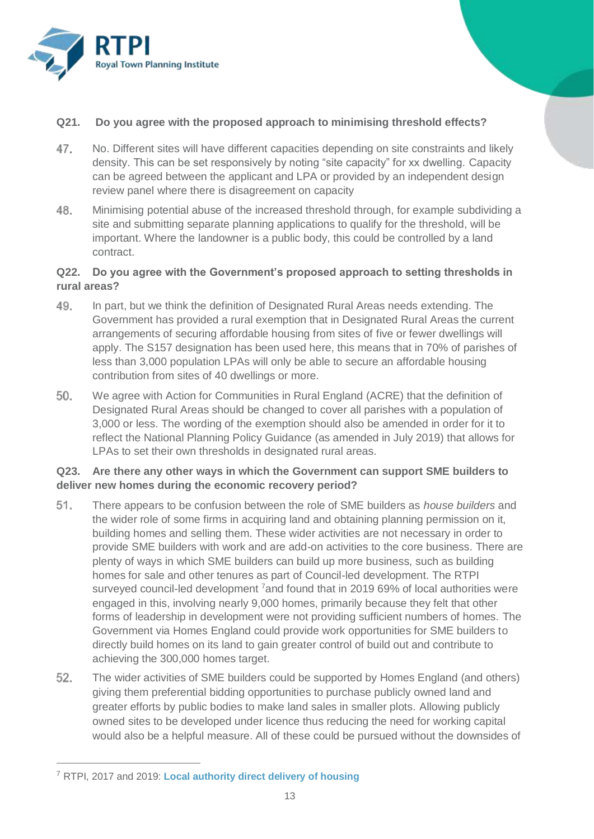

#### **Q21. Do you agree with the proposed approach to minimising threshold effects?**

- 47. No. Different sites will have different capacities depending on site constraints and likely density. This can be set responsively by noting "site capacity" for xx dwelling. Capacity can be agreed between the applicant and LPA or provided by an independent design review panel where there is disagreement on capacity
- 48. Minimising potential abuse of the increased threshold through, for example subdividing a site and submitting separate planning applications to qualify for the threshold, will be important. Where the landowner is a public body, this could be controlled by a land contract.

#### **Q22. Do you agree with the Government's proposed approach to setting thresholds in rural areas?**

- 49. In part, but we think the definition of Designated Rural Areas needs extending. The Government has provided a rural exemption that in Designated Rural Areas the current arrangements of securing affordable housing from sites of five or fewer dwellings will apply. The S157 designation has been used here, this means that in 70% of parishes of less than 3,000 population LPAs will only be able to secure an affordable housing contribution from sites of 40 dwellings or more.
- 50. We agree with Action for Communities in Rural England (ACRE) that the definition of Designated Rural Areas should be changed to cover all parishes with a population of 3,000 or less. The wording of the exemption should also be amended in order for it to reflect the National Planning Policy Guidance (as amended in July 2019) that allows for LPAs to set their own thresholds in designated rural areas.

#### **Q23. Are there any other ways in which the Government can support SME builders to deliver new homes during the economic recovery period?**

- 51. There appears to be confusion between the role of SME builders as *house builders* and the wider role of some firms in acquiring land and obtaining planning permission on it, building homes and selling them. These wider activities are not necessary in order to provide SME builders with work and are add-on activities to the core business. There are plenty of ways in which SME builders can build up more business, such as building homes for sale and other tenures as part of Council-led development. The RTPI surveyed council-led development <sup>7</sup>and found that in 2019 69% of local authorities were engaged in this, involving nearly 9,000 homes, primarily because they felt that other forms of leadership in development were not providing sufficient numbers of homes. The Government via Homes England could provide work opportunities for SME builders to directly build homes on its land to gain greater control of build out and contribute to achieving the 300,000 homes target.
- 52. The wider activities of SME builders could be supported by Homes England (and others) giving them preferential bidding opportunities to purchase publicly owned land and greater efforts by public bodies to make land sales in smaller plots. Allowing publicly owned sites to be developed under licence thus reducing the need for working capital would also be a helpful measure. All of these could be pursued without the downsides of

 $\overline{a}$ 

<sup>7</sup> RTPI, 2017 and 2019: **[Local authority direct delivery of housing](https://www.rtpi.org.uk/research/2019/july/local-authority-direct-delivery-of-housing-ii-continuation-research/)**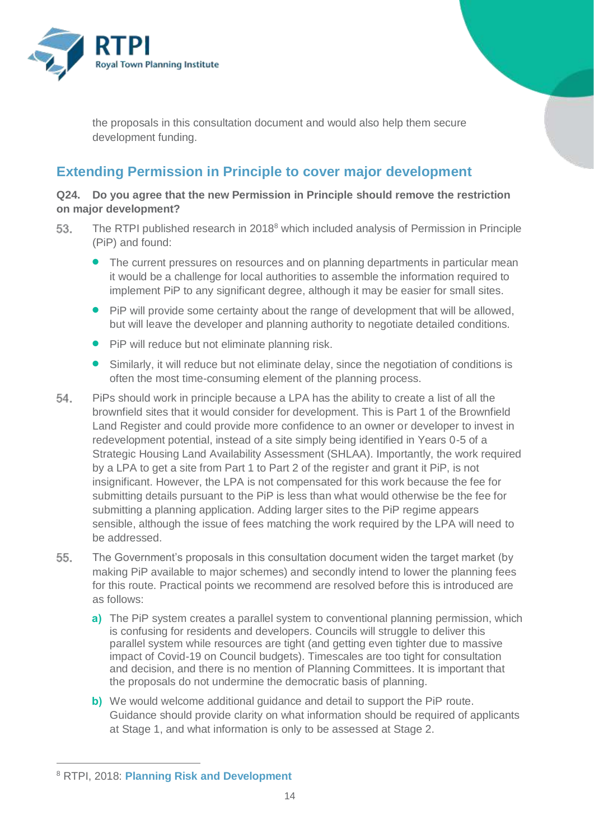

the proposals in this consultation document and would also help them secure development funding.

# **Extending Permission in Principle to cover major development**

#### **Q24. Do you agree that the new Permission in Principle should remove the restriction on major development?**

- The RTPI published research in 2018<sup>8</sup> which included analysis of Permission in Principle 53. (PiP) and found:
	- The current pressures on resources and on planning departments in particular mean it would be a challenge for local authorities to assemble the information required to implement PiP to any significant degree, although it may be easier for small sites.
	- PiP will provide some certainty about the range of development that will be allowed, but will leave the developer and planning authority to negotiate detailed conditions.
	- **•** PiP will reduce but not eliminate planning risk.
	- Similarly, it will reduce but not eliminate delay, since the negotiation of conditions is often the most time-consuming element of the planning process.
- 54. PiPs should work in principle because a LPA has the ability to create a list of all the brownfield sites that it would consider for development. This is Part 1 of the Brownfield Land Register and could provide more confidence to an owner or developer to invest in redevelopment potential, instead of a site simply being identified in Years 0-5 of a Strategic Housing Land Availability Assessment (SHLAA). Importantly, the work required by a LPA to get a site from Part 1 to Part 2 of the register and grant it PiP, is not insignificant. However, the LPA is not compensated for this work because the fee for submitting details pursuant to the PiP is less than what would otherwise be the fee for submitting a planning application. Adding larger sites to the PiP regime appears sensible, although the issue of fees matching the work required by the LPA will need to be addressed.
- 55. The Government's proposals in this consultation document widen the target market (by making PiP available to major schemes) and secondly intend to lower the planning fees for this route. Practical points we recommend are resolved before this is introduced are as follows:
	- **a)** The PiP system creates a parallel system to conventional planning permission, which is confusing for residents and developers. Councils will struggle to deliver this parallel system while resources are tight (and getting even tighter due to massive impact of Covid-19 on Council budgets). Timescales are too tight for consultation and decision, and there is no mention of Planning Committees. It is important that the proposals do not undermine the democratic basis of planning.
	- **b)** We would welcome additional guidance and detail to support the PiP route. Guidance should provide clarity on what information should be required of applicants at Stage 1, and what information is only to be assessed at Stage 2.

 $\overline{a}$ 

<sup>8</sup> RTPI, 2018: **[Planning Risk and Development](https://www.rtpi.org.uk/research/2018/april/planning-risk-and-development/)**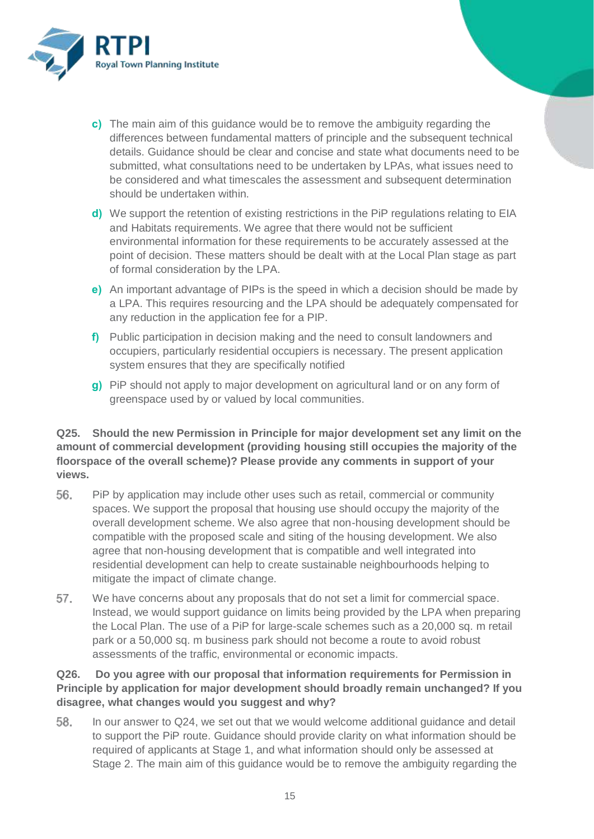

- **c)** The main aim of this guidance would be to remove the ambiguity regarding the differences between fundamental matters of principle and the subsequent technical details. Guidance should be clear and concise and state what documents need to be submitted, what consultations need to be undertaken by LPAs, what issues need to be considered and what timescales the assessment and subsequent determination should be undertaken within.
- **d)** We support the retention of existing restrictions in the PiP regulations relating to EIA and Habitats requirements. We agree that there would not be sufficient environmental information for these requirements to be accurately assessed at the point of decision. These matters should be dealt with at the Local Plan stage as part of formal consideration by the LPA.
- **e)** An important advantage of PIPs is the speed in which a decision should be made by a LPA. This requires resourcing and the LPA should be adequately compensated for any reduction in the application fee for a PIP.
- **f)** Public participation in decision making and the need to consult landowners and occupiers, particularly residential occupiers is necessary. The present application system ensures that they are specifically notified
- **g)** PiP should not apply to major development on agricultural land or on any form of greenspace used by or valued by local communities.

## **Q25. Should the new Permission in Principle for major development set any limit on the amount of commercial development (providing housing still occupies the majority of the floorspace of the overall scheme)? Please provide any comments in support of your views.**

- 56. PiP by application may include other uses such as retail, commercial or community spaces. We support the proposal that housing use should occupy the majority of the overall development scheme. We also agree that non-housing development should be compatible with the proposed scale and siting of the housing development. We also agree that non-housing development that is compatible and well integrated into residential development can help to create sustainable neighbourhoods helping to mitigate the impact of climate change.
- 57. We have concerns about any proposals that do not set a limit for commercial space. Instead, we would support guidance on limits being provided by the LPA when preparing the Local Plan. The use of a PiP for large-scale schemes such as a 20,000 sq. m retail park or a 50,000 sq. m business park should not become a route to avoid robust assessments of the traffic, environmental or economic impacts.

## **Q26. Do you agree with our proposal that information requirements for Permission in Principle by application for major development should broadly remain unchanged? If you disagree, what changes would you suggest and why?**

58. In our answer to Q24, we set out that we would welcome additional guidance and detail to support the PiP route. Guidance should provide clarity on what information should be required of applicants at Stage 1, and what information should only be assessed at Stage 2. The main aim of this guidance would be to remove the ambiguity regarding the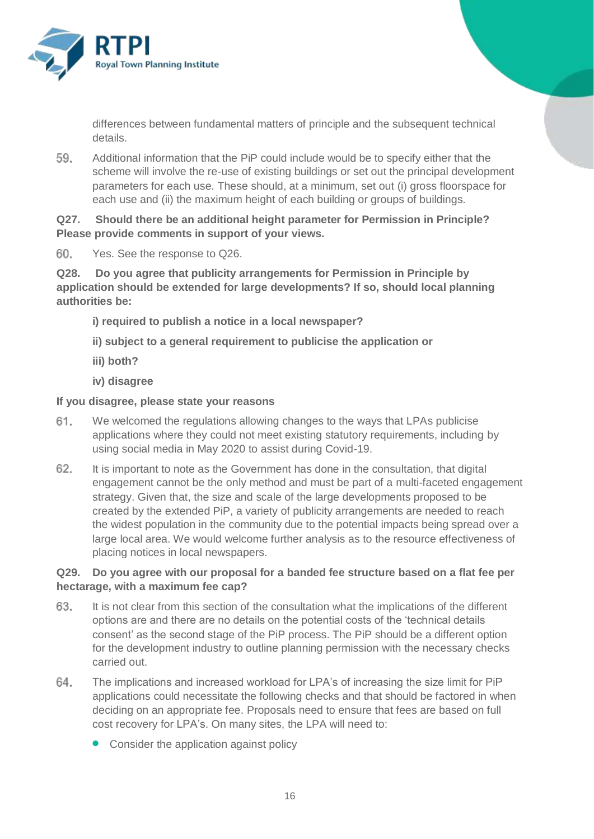

differences between fundamental matters of principle and the subsequent technical details.

59. Additional information that the PiP could include would be to specify either that the scheme will involve the re-use of existing buildings or set out the principal development parameters for each use. These should, at a minimum, set out (i) gross floorspace for each use and (ii) the maximum height of each building or groups of buildings.

**Q27. Should there be an additional height parameter for Permission in Principle? Please provide comments in support of your views.**

60. Yes. See the response to Q26.

**Q28. Do you agree that publicity arrangements for Permission in Principle by application should be extended for large developments? If so, should local planning authorities be:**

- **i) required to publish a notice in a local newspaper?**
- **ii) subject to a general requirement to publicise the application or**
- **iii) both?**
- **iv) disagree**

#### **If you disagree, please state your reasons**

- 61. We welcomed the regulations allowing changes to the ways that LPAs publicise applications where they could not meet existing statutory requirements, including by using social media in May 2020 to assist during Covid-19.
- 62. It is important to note as the Government has done in the consultation, that digital engagement cannot be the only method and must be part of a multi-faceted engagement strategy. Given that, the size and scale of the large developments proposed to be created by the extended PiP, a variety of publicity arrangements are needed to reach the widest population in the community due to the potential impacts being spread over a large local area. We would welcome further analysis as to the resource effectiveness of placing notices in local newspapers.

#### **Q29. Do you agree with our proposal for a banded fee structure based on a flat fee per hectarage, with a maximum fee cap?**

- 63. It is not clear from this section of the consultation what the implications of the different options are and there are no details on the potential costs of the 'technical details consent' as the second stage of the PiP process. The PiP should be a different option for the development industry to outline planning permission with the necessary checks carried out.
- 64. The implications and increased workload for LPA's of increasing the size limit for PiP applications could necessitate the following checks and that should be factored in when deciding on an appropriate fee. Proposals need to ensure that fees are based on full cost recovery for LPA's. On many sites, the LPA will need to:
	- Consider the application against policy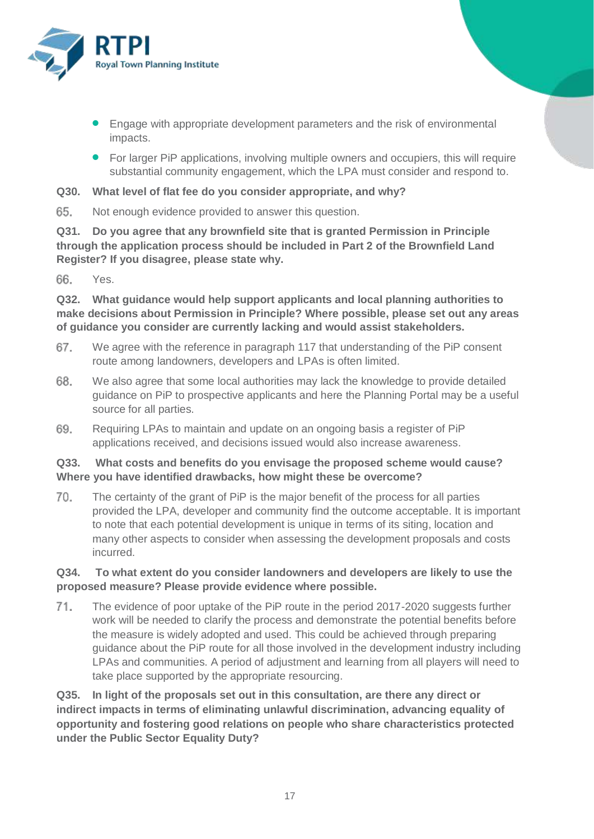

- **•** Engage with appropriate development parameters and the risk of environmental impacts.
- For larger PiP applications, involving multiple owners and occupiers, this will require substantial community engagement, which the LPA must consider and respond to.
- **Q30. What level of flat fee do you consider appropriate, and why?**
- 65. Not enough evidence provided to answer this question.

**Q31. Do you agree that any brownfield site that is granted Permission in Principle through the application process should be included in Part 2 of the Brownfield Land Register? If you disagree, please state why.**

66. Yes.

**Q32. What guidance would help support applicants and local planning authorities to make decisions about Permission in Principle? Where possible, please set out any areas of guidance you consider are currently lacking and would assist stakeholders.**

- 67. We agree with the reference in paragraph 117 that understanding of the PiP consent route among landowners, developers and LPAs is often limited.
- 68. We also agree that some local authorities may lack the knowledge to provide detailed guidance on PiP to prospective applicants and here the Planning Portal may be a useful source for all parties.
- 69. Requiring LPAs to maintain and update on an ongoing basis a register of PiP applications received, and decisions issued would also increase awareness.

#### **Q33. What costs and benefits do you envisage the proposed scheme would cause? Where you have identified drawbacks, how might these be overcome?**

70. The certainty of the grant of PiP is the major benefit of the process for all parties provided the LPA, developer and community find the outcome acceptable. It is important to note that each potential development is unique in terms of its siting, location and many other aspects to consider when assessing the development proposals and costs incurred.

#### **Q34. To what extent do you consider landowners and developers are likely to use the proposed measure? Please provide evidence where possible.**

71. The evidence of poor uptake of the PiP route in the period 2017-2020 suggests further work will be needed to clarify the process and demonstrate the potential benefits before the measure is widely adopted and used. This could be achieved through preparing guidance about the PiP route for all those involved in the development industry including LPAs and communities. A period of adjustment and learning from all players will need to take place supported by the appropriate resourcing.

**Q35. In light of the proposals set out in this consultation, are there any direct or indirect impacts in terms of eliminating unlawful discrimination, advancing equality of opportunity and fostering good relations on people who share characteristics protected under the Public Sector Equality Duty?**